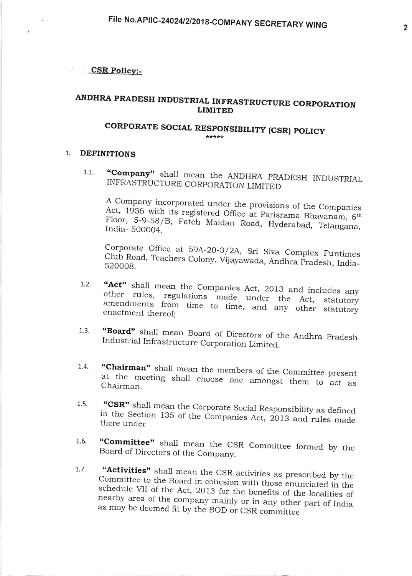CSR Policy:-

## ANDHRA PRADESH INDUSTRIAL INFRASTRUCTURE CORPORATION LIMITED

# CORPORATE SOCIAL RESPONSIBILITY (CSR) POLICY

#### $1$ DEFINITIONS

1.1. "Company" shall mean the ANDHRA PRADESH INDUSTRIAL INFRASTRUCTURE CORPORATION LIMITED

A Company incorporated under the provisions of the Companies<br>Act, 1956 with its registered Office at Parisrama Bhavanam, 6<sup>th</sup> Floor, 5-9-58/B, Fateh Maidan Road, Hyderabad, Telangana, India- 500004.

Corporate Office at 59A-20-3/2A, Sri Siva Complex Funtimes Club Road, Teachers Colony, Vijayawada, Andhra Pradesh, India-

- "Act" shall mean the Companies Act, 2013 and includes any other rules, regulations made under the Act, statutory amendments from time to time, and any other statutory enactment thereof:  $1.2.$
- "Board" shall mean Board of Directors of the Andhra Pradesh<br>Industrial Infrastructure Corporation Limited.  $1.3.$
- "Chairman" shall mean the members of the Committee present at the meeting shall choose one amongst them to act as Chairman 1,.4.
- "CSR" shall mean the Corporate Social Responsibility as defined  $1.5.$ "CSR" shall mean the Corporate Social Responsibility as defined<br>in the Section 135 of the Companies Act, 2013 and rules made there under
- "Committee" shall mean the CSR Committee formed by the Board of Directors of the Company. 1.6.
- "Activities" shall mean the CSR activities as prescribed by the Committee to the Board in cohesion with those enunciated in the schedule VII of the Act, 2013 for the benefits of the localities of nearby area of the company 1.7.